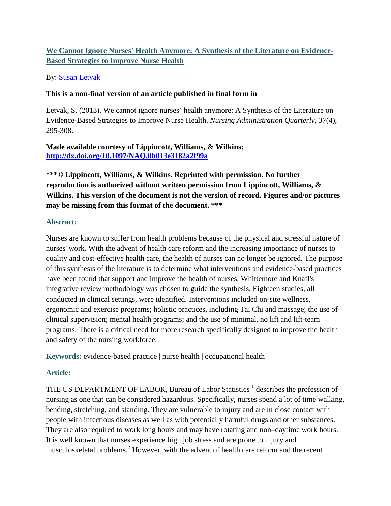# **We Cannot Ignore Nurses' Health Anymore: A Synthesis of the Literature on Evidence-Based Strategies to Improve Nurse Health**

### By: [Susan Letvak](http://libres.uncg.edu/ir/uncg/clist.aspx?id=1657)

#### **This is a non-final version of an article published in final form in**

Letvak, S. (2013). We cannot ignore nurses' health anymore: A Synthesis of the Literature on Evidence-Based Strategies to Improve Nurse Health. *Nursing Administration Quarterly, 37*(4), 295-308.

### **Made available courtesy of Lippincott, Williams, & Wilkins: <http://dx.doi.org/10.1097/NAQ.0b013e3182a2f99a>**

**\*\*\*© Lippincott, Williams, & Wilkins. Reprinted with permission. No further reproduction is authorized without written permission from Lippincott, Williams, & Wilkins. This version of the document is not the version of record. Figures and/or pictures may be missing from this format of the document. \*\*\***

#### **Abstract:**

Nurses are known to suffer from health problems because of the physical and stressful nature of nurses' work. With the advent of health care reform and the increasing importance of nurses to quality and cost-effective health care, the health of nurses can no longer be ignored. The purpose of this synthesis of the literature is to determine what interventions and evidence-based practices have been found that support and improve the health of nurses. Whittemore and Knafl's integrative review methodology was chosen to guide the synthesis. Eighteen studies, all conducted in clinical settings, were identified. Interventions included on-site wellness, ergonomic and exercise programs; holistic practices, including Tai Chi and massage; the use of clinical supervision; mental health programs; and the use of minimal, no lift and lift-team programs. There is a critical need for more research specifically designed to improve the health and safety of the nursing workforce.

**Keywords:** evidence-based practice | nurse health | occupational health

### **Article:**

THE US DEPARTMENT OF LABOR, Bureau of Labor Statistics<sup>1</sup> describes the profession of nursing as one that can be considered hazardous. Specifically, nurses spend a lot of time walking, bending, stretching, and standing. They are vulnerable to injury and are in close contact with people with infectious diseases as well as with potentially harmful drugs and other substances. They are also required to work long hours and may have rotating and non–daytime work hours. It is well known that nurses experience high job stress and are prone to injury and musculoskeletal problems.<sup>2</sup> However, with the advent of health care reform and the recent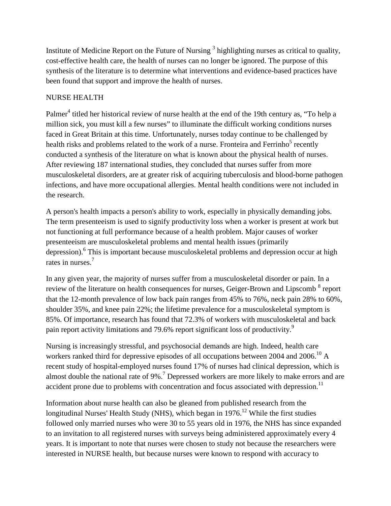Institute of Medicine Report on the Future of Nursing<sup>3</sup> highlighting nurses as critical to quality, cost-effective health care, the health of nurses can no longer be ignored. The purpose of this synthesis of the literature is to determine what interventions and evidence-based practices have been found that support and improve the health of nurses.

## NURSE HEALTH

Palmer<sup>4</sup> titled her historical review of nurse health at the end of the 19th century as, "To help a million sick, you must kill a few nurses" to illuminate the difficult working conditions nurses faced in Great Britain at this time. Unfortunately, nurses today continue to be challenged by health risks and problems related to the work of a nurse. Fronteira and Ferrinho<sup>5</sup> recently conducted a synthesis of the literature on what is known about the physical health of nurses. After reviewing 187 international studies, they concluded that nurses suffer from more musculoskeletal disorders, are at greater risk of acquiring tuberculosis and blood-borne pathogen infections, and have more occupational allergies. Mental health conditions were not included in the research.

A person's health impacts a person's ability to work, especially in physically demanding jobs. The term presenteeism is used to signify productivity loss when a worker is present at work but not functioning at full performance because of a health problem. Major causes of worker presenteeism are musculoskeletal problems and mental health issues (primarily depression).<sup>6</sup> This is important because musculoskeletal problems and depression occur at high rates in nurses.<sup>7</sup>

In any given year, the majority of nurses suffer from a musculoskeletal disorder or pain. In a review of the literature on health consequences for nurses, Geiger-Brown and Lipscomb<sup>8</sup> report that the 12-month prevalence of low back pain ranges from 45% to 76%, neck pain 28% to 60%, shoulder 35%, and knee pain 22%; the lifetime prevalence for a musculoskeletal symptom is 85%. Of importance, research has found that 72.3% of workers with musculoskeletal and back pain report activity limitations and 79.6% report significant loss of productivity.9

Nursing is increasingly stressful, and psychosocial demands are high. Indeed, health care workers ranked third for depressive episodes of all occupations between 2004 and 2006.<sup>10</sup> A recent study of hospital-employed nurses found 17% of nurses had clinical depression, which is almost double the national rate of 9%.<sup>7</sup> Depressed workers are more likely to make errors and are accident prone due to problems with concentration and focus associated with depression.<sup>11</sup>

Information about nurse health can also be gleaned from published research from the longitudinal Nurses' Health Study (NHS), which began in  $1976$ <sup>12</sup> While the first studies followed only married nurses who were 30 to 55 years old in 1976, the NHS has since expanded to an invitation to all registered nurses with surveys being administered approximately every 4 years. It is important to note that nurses were chosen to study not because the researchers were interested in NURSE health, but because nurses were known to respond with accuracy to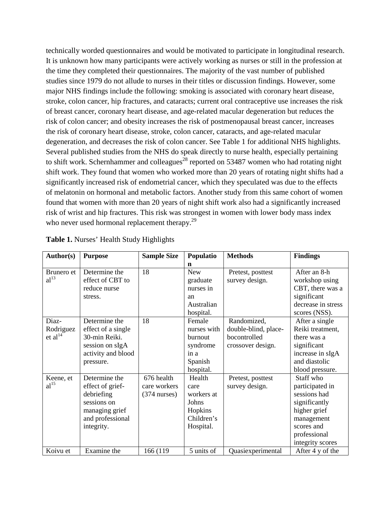technically worded questionnaires and would be motivated to participate in longitudinal research. It is unknown how many participants were actively working as nurses or still in the profession at the time they completed their questionnaires. The majority of the vast number of published studies since 1979 do not allude to nurses in their titles or discussion findings. However, some major NHS findings include the following: smoking is associated with coronary heart disease, stroke, colon cancer, hip fractures, and cataracts; current oral contraceptive use increases the risk of breast cancer, coronary heart disease, and age-related macular degeneration but reduces the risk of colon cancer; and obesity increases the risk of postmenopausal breast cancer, increases the risk of coronary heart disease, stroke, colon cancer, cataracts, and age-related macular degeneration, and decreases the risk of colon cancer. See Table 1 for additional NHS highlights. Several published studies from the NHS do speak directly to nurse health, especially pertaining to shift work. Schernhammer and colleagues<sup>28</sup> reported on 53487 women who had rotating night shift work. They found that women who worked more than 20 years of rotating night shifts had a significantly increased risk of endometrial cancer, which they speculated was due to the effects of melatonin on hormonal and metabolic factors. Another study from this same cohort of women found that women with more than 20 years of night shift work also had a significantly increased risk of wrist and hip fractures. This risk was strongest in women with lower body mass index who never used hormonal replacement therapy.<sup>29</sup>

| Author(s)        | <b>Purpose</b>     | <b>Sample Size</b>     | Populatio   | <b>Methods</b>       | <b>Findings</b>    |
|------------------|--------------------|------------------------|-------------|----------------------|--------------------|
|                  |                    |                        | n           |                      |                    |
| Brunero et       | Determine the      | 18                     | <b>New</b>  | Pretest, posttest    | After an 8-h       |
| al <sup>13</sup> | effect of CBT to   |                        | graduate    | survey design.       | workshop using     |
|                  | reduce nurse       |                        | nurses in   |                      | CBT, there was a   |
|                  | stress.            |                        | an          |                      | significant        |
|                  |                    |                        | Australian  |                      | decrease in stress |
|                  |                    |                        | hospital.   |                      | scores (NSS).      |
| Diaz-            | Determine the      | 18                     | Female      | Randomized,          | After a single     |
| Rodriguez        | effect of a single |                        | nurses with | double-blind, place- | Reiki treatment,   |
| et al $^{14}$    | 30-min Reiki.      |                        | burnout     | bocontrolled         | there was a        |
|                  | session on sIgA    |                        | syndrome    | crossover design.    | significant        |
|                  | activity and blood |                        | in a        |                      | increase in sIgA   |
|                  | pressure.          |                        | Spanish     |                      | and diastolic      |
|                  |                    |                        | hospital.   |                      | blood pressure.    |
| Keene, et        | Determine the      | 676 health             | Health      | Pretest, posttest    | Staff who          |
| al <sup>15</sup> | effect of grief-   | care workers           | care        | survey design.       | participated in    |
|                  | debriefing         | $(374 \text{ nurses})$ | workers at  |                      | sessions had       |
|                  | sessions on        |                        | Johns       |                      | significantly      |
|                  | managing grief     |                        | Hopkins     |                      | higher grief       |
|                  | and professional   |                        | Children's  |                      | management         |
|                  | integrity.         |                        | Hospital.   |                      | scores and         |
|                  |                    |                        |             |                      | professional       |
|                  |                    |                        |             |                      | integrity scores   |
| Koivu et         | Examine the        | 166 (119               | 5 units of  | Quasiexperimental    | After 4 y of the   |

**Table 1.** Nurses' Health Study Highlights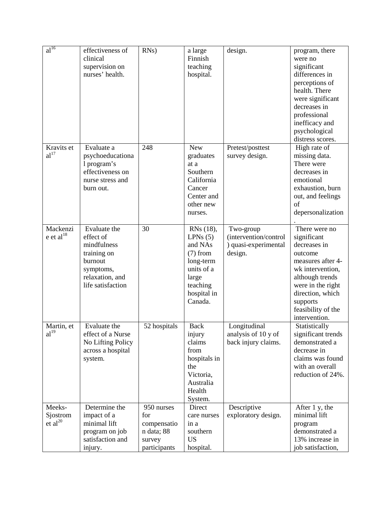| $a^{\overline{16}}$                | effectiveness of<br>clinical<br>supervision on<br>nurses' health.                                                       | $RNs$ )                                                                  | a large<br>Finnish<br>teaching<br>hospital.                                                                             | design.                                                               | program, there<br>were no<br>significant<br>differences in<br>perceptions of<br>health. There<br>were significant<br>decreases in<br>professional<br>inefficacy and<br>psychological<br>distress scores.        |
|------------------------------------|-------------------------------------------------------------------------------------------------------------------------|--------------------------------------------------------------------------|-------------------------------------------------------------------------------------------------------------------------|-----------------------------------------------------------------------|-----------------------------------------------------------------------------------------------------------------------------------------------------------------------------------------------------------------|
| Kravits et<br>al <sup>17</sup>     | Evaluate a<br>psychoeducationa<br>1 program's<br>effectiveness on<br>nurse stress and<br>burn out.                      | 248                                                                      | <b>New</b><br>graduates<br>at a<br>Southern<br>California<br>Cancer<br>Center and<br>other new<br>nurses.               | Pretest/posttest<br>survey design.                                    | High rate of<br>missing data.<br>There were<br>decreases in<br>emotional<br>exhaustion, burn<br>out, and feelings<br>of<br>depersonalization                                                                    |
| Mackenzi<br>e et al <sup>18</sup>  | Evaluate the<br>effect of<br>mindfulness<br>training on<br>burnout<br>symptoms,<br>relaxation, and<br>life satisfaction | 30                                                                       | RNs (18),<br>LPNs(5)<br>and NAs<br>$(7)$ from<br>long-term<br>units of a<br>large<br>teaching<br>hospital in<br>Canada. | Two-group<br>(intervention/control<br>) quasi-experimental<br>design. | There were no<br>significant<br>decreases in<br>outcome<br>measures after 4-<br>wk intervention,<br>although trends<br>were in the right<br>direction, which<br>supports<br>feasibility of the<br>intervention. |
| Martin, et<br>al <sup>19</sup>     | Evaluate the<br>effect of a Nurse<br>No Lifting Policy<br>across a hospital<br>system.                                  | 52 hospitals                                                             | <b>Back</b><br>injury<br>claims<br>from<br>hospitals in<br>the<br>Victoria,<br>Australia<br>Health<br>System.           | Longitudinal<br>analysis of 10 y of<br>back injury claims.            | Statistically<br>significant trends<br>demonstrated a<br>decrease in<br>claims was found<br>with an overall<br>reduction of 24%.                                                                                |
| Meeks-<br>Sjostrom<br>et $al^{20}$ | Determine the<br>impact of a<br>minimal lift<br>program on job<br>satisfaction and<br>injury.                           | 950 nurses<br>for<br>compensatio<br>n data; 88<br>survey<br>participants | Direct<br>care nurses<br>in a<br>southern<br><b>US</b><br>hospital.                                                     | Descriptive<br>exploratory design.                                    | After 1 y, the<br>minimal lift<br>program<br>demonstrated a<br>13% increase in<br>job satisfaction,                                                                                                             |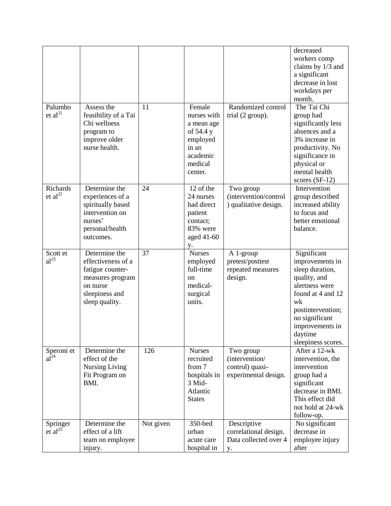| Palumbo<br>et al <sup>21</sup>         | Assess the<br>feasibility of a Tai<br>Chi wellness<br>program to<br>improve older<br>nurse health.                          | 11        | Female<br>nurses with<br>a mean age<br>of 54.4 y<br>employed<br>in an                       | Randomized control<br>trial $(2 \text{ group})$ .                      | decreased<br>workers comp<br>claims by 1/3 and<br>a significant<br>decrease in lost<br>workdays per<br>month.<br>The Tai Chi<br>group had<br>significantly less<br>absences and a<br>3% increase in<br>productivity. No |
|----------------------------------------|-----------------------------------------------------------------------------------------------------------------------------|-----------|---------------------------------------------------------------------------------------------|------------------------------------------------------------------------|-------------------------------------------------------------------------------------------------------------------------------------------------------------------------------------------------------------------------|
|                                        |                                                                                                                             |           | academic<br>medical<br>center.                                                              |                                                                        | significance in<br>physical or<br>mental health<br>scores $(SF-12)$                                                                                                                                                     |
| <b>Richards</b><br>et al <sup>22</sup> | Determine the<br>experiences of a<br>spiritually based<br>intervention on<br>nurses'<br>personal/health<br>outcomes.        | 24        | 12 of the<br>24 nurses<br>had direct<br>patient<br>contact;<br>83% were<br>aged 41-60<br>у. | Two group<br>(intervention/control<br>) qualitative design.            | Intervention<br>group described<br>increased ability<br>to focus and<br>better emotional<br>balance.                                                                                                                    |
| Scott et<br>$al^{23}$                  | Determine the<br>effectiveness of a<br>fatigue counter-<br>measures program<br>on nurse<br>sleepiness and<br>sleep quality. | 37        | <b>Nurses</b><br>employed<br>full-time<br>on<br>medical-<br>surgical<br>units.              | A 1-group<br>pretest/posttest<br>repeated measures<br>design.          | Significant<br>improvements in<br>sleep duration,<br>quality, and<br>alertness were<br>found at 4 and 12<br>wk<br>postintervention;<br>no significant<br>improvements in<br>daytime<br>sleepiness scores.               |
| Speroni et<br>$a\tilde{l}^{24}$        | Determine the<br>effect of the<br>Nursing Living<br>Fit Program on<br>BMI.                                                  | 126       | <b>Nurses</b><br>recruited<br>from 7<br>hospitals in<br>3 Mid-<br>Atlantic<br><b>States</b> | Two group<br>(intervention/<br>control) quasi-<br>experimental design. | After a 12-wk<br>intervention, the<br>intervention<br>group had a<br>significant<br>decrease in BMI.<br>This effect did<br>not hold at 24-wk<br>follow-up.                                                              |
| Springer<br>$et al^{25}$               | Determine the<br>effect of a lift<br>team on employee<br>injury.                                                            | Not given | 350-bed<br>urban<br>acute care<br>hospital in                                               | Descriptive<br>correlational design.<br>Data collected over 4<br>у.    | No significant<br>decrease in<br>employee injury<br>after                                                                                                                                                               |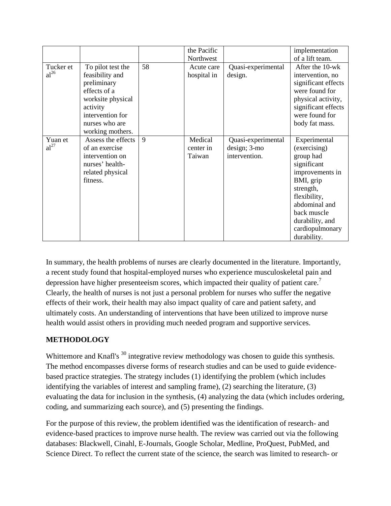|                  |                    |    | the Pacific |                    | implementation      |
|------------------|--------------------|----|-------------|--------------------|---------------------|
|                  |                    |    | Northwest   |                    | of a lift team.     |
| Tucker et        | To pilot test the  | 58 | Acute care  | Quasi-experimental | After the 10-wk     |
| $al^{26}$        | feasibility and    |    | hospital in | design.            | intervention, no    |
|                  | preliminary        |    |             |                    | significant effects |
|                  | effects of a       |    |             |                    | were found for      |
|                  | worksite physical  |    |             |                    | physical activity,  |
|                  | activity           |    |             |                    | significant effects |
|                  | intervention for   |    |             |                    | were found for      |
|                  | nurses who are     |    |             |                    | body fat mass.      |
|                  | working mothers.   |    |             |                    |                     |
| Yuan et          | Assess the effects | 9  | Medical     | Quasi-experimental | Experimental        |
| al <sup>27</sup> | of an exercise     |    | center in   | design; 3-mo       | (exercising)        |
|                  | intervention on    |    | Taiwan      | intervention.      | group had           |
|                  | nurses' health-    |    |             |                    | significant         |
|                  | related physical   |    |             |                    | improvements in     |
|                  | fitness.           |    |             |                    | BMI, grip           |
|                  |                    |    |             |                    | strength,           |
|                  |                    |    |             |                    | flexibility,        |
|                  |                    |    |             |                    | abdominal and       |
|                  |                    |    |             |                    | back muscle         |
|                  |                    |    |             |                    | durability, and     |
|                  |                    |    |             |                    | cardiopulmonary     |
|                  |                    |    |             |                    | durability.         |

In summary, the health problems of nurses are clearly documented in the literature. Importantly, a recent study found that hospital-employed nurses who experience musculoskeletal pain and depression have higher presenteeism scores, which impacted their quality of patient care.<sup>7</sup> Clearly, the health of nurses is not just a personal problem for nurses who suffer the negative effects of their work, their health may also impact quality of care and patient safety, and ultimately costs. An understanding of interventions that have been utilized to improve nurse health would assist others in providing much needed program and supportive services.

# **METHODOLOGY**

Whittemore and Knafl's <sup>30</sup> integrative review methodology was chosen to guide this synthesis. The method encompasses diverse forms of research studies and can be used to guide evidencebased practice strategies. The strategy includes (1) identifying the problem (which includes identifying the variables of interest and sampling frame), (2) searching the literature, (3) evaluating the data for inclusion in the synthesis, (4) analyzing the data (which includes ordering, coding, and summarizing each source), and (5) presenting the findings.

For the purpose of this review, the problem identified was the identification of research- and evidence-based practices to improve nurse health. The review was carried out via the following databases: Blackwell, Cinahl, E-Journals, Google Scholar, Medline, ProQuest, PubMed, and Science Direct. To reflect the current state of the science, the search was limited to research- or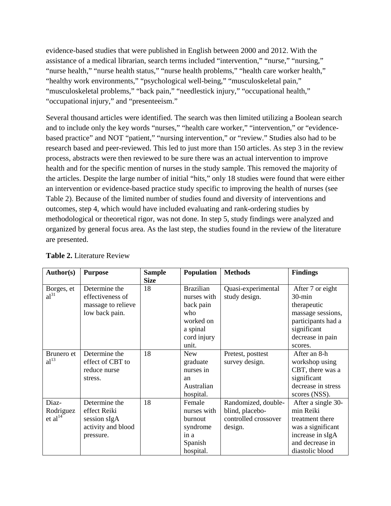evidence-based studies that were published in English between 2000 and 2012. With the assistance of a medical librarian, search terms included "intervention," "nurse," "nursing," "nurse health," "nurse health status," "nurse health problems," "health care worker health," "healthy work environments," "psychological well-being," "musculoskeletal pain," "musculoskeletal problems," "back pain," "needlestick injury," "occupational health," "occupational injury," and "presenteeism."

Several thousand articles were identified. The search was then limited utilizing a Boolean search and to include only the key words "nurses," "health care worker," "intervention," or "evidencebased practice" and NOT "patient," "nursing intervention," or "review." Studies also had to be research based and peer-reviewed. This led to just more than 150 articles. As step 3 in the review process, abstracts were then reviewed to be sure there was an actual intervention to improve health and for the specific mention of nurses in the study sample. This removed the majority of the articles. Despite the large number of initial "hits," only 18 studies were found that were either an intervention or evidence-based practice study specific to improving the health of nurses (see Table 2). Because of the limited number of studies found and diversity of interventions and outcomes, step 4, which would have included evaluating and rank-ordering studies by methodological or theoretical rigor, was not done. In step 5, study findings were analyzed and organized by general focus area. As the last step, the studies found in the review of the literature are presented.

| Author(s)                                 | <b>Purpose</b>                                                                   | <b>Sample</b><br><b>Size</b> | <b>Population</b>                                                                                    | <b>Methods</b>                                                            | <b>Findings</b>                                                                                                                       |
|-------------------------------------------|----------------------------------------------------------------------------------|------------------------------|------------------------------------------------------------------------------------------------------|---------------------------------------------------------------------------|---------------------------------------------------------------------------------------------------------------------------------------|
| Borges, et<br>al <sup>31</sup>            | Determine the<br>effectiveness of<br>massage to relieve<br>low back pain.        | 18                           | <b>Brazilian</b><br>nurses with<br>back pain<br>who<br>worked on<br>a spinal<br>cord injury<br>unit. | Quasi-experimental<br>study design.                                       | After 7 or eight<br>$30$ -min<br>therapeutic<br>massage sessions,<br>participants had a<br>significant<br>decrease in pain<br>scores. |
| Brunero et<br>al <sup>13</sup>            | Determine the<br>effect of CBT to<br>reduce nurse<br>stress.                     | 18                           | <b>New</b><br>graduate<br>nurses in<br>an<br>Australian<br>hospital.                                 | Pretest, posttest<br>survey design.                                       | After an 8-h<br>workshop using<br>CBT, there was a<br>significant<br>decrease in stress<br>scores (NSS).                              |
| Diaz-<br>Rodriguez<br>et al <sup>14</sup> | Determine the<br>effect Reiki<br>session sIgA<br>activity and blood<br>pressure. | 18                           | Female<br>nurses with<br><b>burnout</b><br>syndrome<br>in a<br>Spanish<br>hospital.                  | Randomized, double-<br>blind, placebo-<br>controlled crossover<br>design. | After a single 30-<br>min Reiki<br>treatment there<br>was a significant<br>increase in sIgA<br>and decrease in<br>diastolic blood     |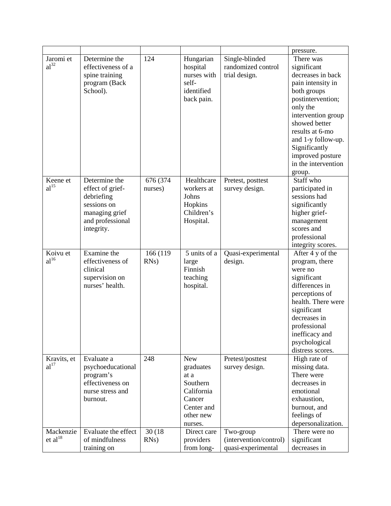|                     |                     |          |              |                        | pressure.           |
|---------------------|---------------------|----------|--------------|------------------------|---------------------|
| Jaromi et           | Determine the       | 124      | Hungarian    | Single-blinded         | There was           |
| al <sup>32</sup>    | effectiveness of a  |          | hospital     | randomized control     | significant         |
|                     | spine training      |          | nurses with  | trial design.          | decreases in back   |
|                     | program (Back       |          | self-        |                        | pain intensity in   |
|                     | School).            |          | identified   |                        | both groups         |
|                     |                     |          | back pain.   |                        | postintervention;   |
|                     |                     |          |              |                        | only the            |
|                     |                     |          |              |                        | intervention group  |
|                     |                     |          |              |                        | showed better       |
|                     |                     |          |              |                        | results at 6-mo     |
|                     |                     |          |              |                        | and 1-y follow-up.  |
|                     |                     |          |              |                        | Significantly       |
|                     |                     |          |              |                        | improved posture    |
|                     |                     |          |              |                        | in the intervention |
|                     |                     |          |              |                        | group.              |
| Keene et            | Determine the       | 676 (374 | Healthcare   | Pretest, posttest      | Staff who           |
| al <sup>15</sup>    | effect of grief-    | nurses)  | workers at   | survey design.         | participated in     |
|                     | debriefing          |          | Johns        |                        | sessions had        |
|                     | sessions on         |          | Hopkins      |                        | significantly       |
|                     | managing grief      |          | Children's   |                        | higher grief-       |
|                     | and professional    |          | Hospital.    |                        | management          |
|                     | integrity.          |          |              |                        | scores and          |
|                     |                     |          |              |                        | professional        |
|                     |                     |          |              |                        | integrity scores.   |
| Koivu et            | Examine the         | 166 (119 | 5 units of a | Quasi-experimental     | After 4 y of the    |
|                     |                     |          |              |                        |                     |
| $al^{16}$           | effectiveness of    | $RNs$ )  | large        | design.                | program, there      |
|                     | clinical            |          | Finnish      |                        | were no             |
|                     | supervision on      |          | teaching     |                        | significant         |
|                     | nurses' health.     |          | hospital.    |                        | differences in      |
|                     |                     |          |              |                        | perceptions of      |
|                     |                     |          |              |                        | health. There were  |
|                     |                     |          |              |                        | significant         |
|                     |                     |          |              |                        | decreases in        |
|                     |                     |          |              |                        | professional        |
|                     |                     |          |              |                        | inefficacy and      |
|                     |                     |          |              |                        | psychological       |
|                     |                     |          |              |                        | distress scores.    |
| Kravits, et         | Evaluate a          | 248      | <b>New</b>   | Pretest/posttest       | High rate of        |
| al <sup>17</sup>    | psychoeducational   |          | graduates    | survey design.         | missing data.       |
|                     | program's           |          | at a         |                        | There were          |
|                     | effectiveness on    |          | Southern     |                        | decreases in        |
|                     | nurse stress and    |          | California   |                        | emotional           |
|                     | burnout.            |          | Cancer       |                        | exhaustion,         |
|                     |                     |          | Center and   |                        | burnout, and        |
|                     |                     |          | other new    |                        | feelings of         |
|                     |                     |          | nurses.      |                        | depersonalization.  |
| Mackenzie           | Evaluate the effect | 30 (18)  | Direct care  | Two-group              | There were no       |
| et al <sup>18</sup> | of mindfulness      | $RNs$ )  | providers    | (intervention/control) | significant         |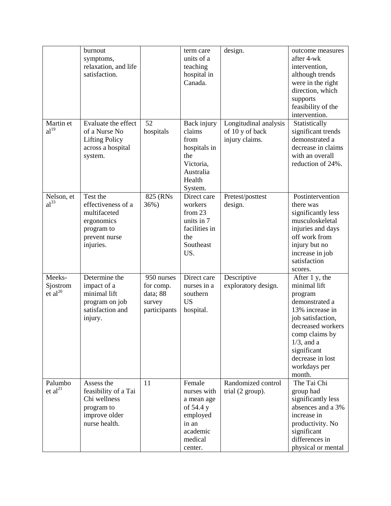| Martin et<br>al <sup>19</sup>      | burnout<br>symptoms,<br>relaxation, and life<br>satisfaction.<br>Evaluate the effect<br>of a Nurse No<br><b>Lifting Policy</b><br>across a hospital | 52<br>hospitals                                               | term care<br>units of a<br>teaching<br>hospital in<br>Canada.<br>Back injury<br>claims<br>from<br>hospitals in<br>the | design.<br>Longitudinal analysis<br>of 10 y of back<br>injury claims. | outcome measures<br>after 4-wk<br>intervention,<br>although trends<br>were in the right<br>direction, which<br>supports<br>feasibility of the<br>intervention.<br>Statistically<br>significant trends<br>demonstrated a<br>decrease in claims<br>with an overall |
|------------------------------------|-----------------------------------------------------------------------------------------------------------------------------------------------------|---------------------------------------------------------------|-----------------------------------------------------------------------------------------------------------------------|-----------------------------------------------------------------------|------------------------------------------------------------------------------------------------------------------------------------------------------------------------------------------------------------------------------------------------------------------|
|                                    | system.                                                                                                                                             |                                                               | Victoria,<br>Australia<br>Health<br>System.                                                                           |                                                                       | reduction of 24%.                                                                                                                                                                                                                                                |
| Nelson, et<br>$al^{33}$            | Test the<br>effectiveness of a<br>multifaceted<br>ergonomics<br>program to<br>prevent nurse<br>injuries.                                            | 825 (RNs)<br>36%)                                             | Direct care<br>workers<br>from $23$<br>units in 7<br>facilities in<br>the<br>Southeast<br>US.                         | Pretest/posttest<br>design.                                           | Postintervention<br>there was<br>significantly less<br>musculoskeletal<br>injuries and days<br>off work from<br>injury but no<br>increase in job<br>satisfaction<br>scores.                                                                                      |
| Meeks-<br>Sjostrom<br>et $al^{20}$ | Determine the<br>impact of a<br>minimal lift<br>program on job<br>satisfaction and<br>injury.                                                       | 950 nurses<br>for comp.<br>data; 88<br>survey<br>participants | Direct care<br>nurses in a<br>southern<br><b>US</b><br>hospital.                                                      | Descriptive<br>exploratory design.                                    | After 1 y, the<br>minimal lift<br>program<br>demonstrated a<br>13% increase in<br>job satisfaction,<br>decreased workers<br>comp claims by<br>$1/3$ , and a<br>significant<br>decrease in lost<br>workdays per<br>month.                                         |
| Palumbo<br>et $al^{21}$            | Assess the<br>feasibility of a Tai<br>Chi wellness<br>program to<br>improve older<br>nurse health.                                                  | 11                                                            | Female<br>nurses with<br>a mean age<br>of 54.4 y<br>employed<br>in an<br>academic<br>medical<br>center.               | Randomized control<br>trial (2 group).                                | The Tai Chi<br>group had<br>significantly less<br>absences and a 3%<br>increase in<br>productivity. No<br>significant<br>differences in<br>physical or mental                                                                                                    |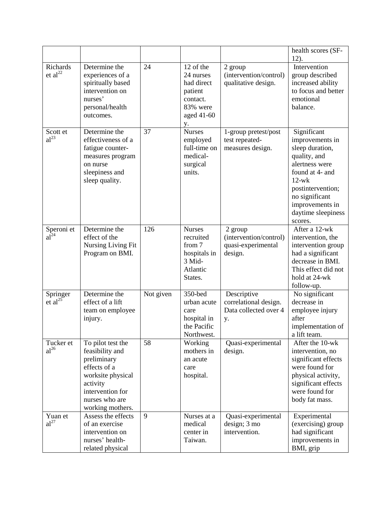|                                   |                                                                                                                                                                |           |                                                                                             |                                                                     | health scores (SF-<br>12).                                                                                                                                                                                   |
|-----------------------------------|----------------------------------------------------------------------------------------------------------------------------------------------------------------|-----------|---------------------------------------------------------------------------------------------|---------------------------------------------------------------------|--------------------------------------------------------------------------------------------------------------------------------------------------------------------------------------------------------------|
| Richards<br>et $al22$             | Determine the<br>experiences of a<br>spiritually based<br>intervention on<br>nurses'<br>personal/health<br>outcomes.                                           | 24        | 12 of the<br>24 nurses<br>had direct<br>patient<br>contact.<br>83% were<br>aged 41-60<br>у. | 2 group<br>(intervention/control)<br>qualitative design.            | Intervention<br>group described<br>increased ability<br>to focus and better<br>emotional<br>balance.                                                                                                         |
| Scott et<br>$al^{23}$             | Determine the<br>effectiveness of a<br>fatigue counter-<br>measures program<br>on nurse<br>sleepiness and<br>sleep quality.                                    | 37        | <b>Nurses</b><br>employed<br>full-time on<br>medical-<br>surgical<br>units.                 | 1-group pretest/post<br>test repeated-<br>measures design.          | Significant<br>improvements in<br>sleep duration,<br>quality, and<br>alertness were<br>found at 4- and<br>$12-wk$<br>postintervention;<br>no significant<br>improvements in<br>daytime sleepiness<br>scores. |
| Speroni et<br>al <sup>24</sup>    | Determine the<br>effect of the<br>Nursing Living Fit<br>Program on BMI.                                                                                        | 126       | <b>Nurses</b><br>recruited<br>from 7<br>hospitals in<br>3 Mid-<br>Atlantic<br>States.       | 2 group<br>(intervention/control)<br>quasi-experimental<br>design.  | After a 12-wk<br>intervention, the<br>intervention group<br>had a significant<br>decrease in BMI.<br>This effect did not<br>hold at 24-wk<br>follow-up.                                                      |
| Springer<br>$et$ al <sup>25</sup> | Determine the<br>effect of a lift<br>team on employee<br>injury.                                                                                               | Not given | 350-bed<br>urban acute<br>care<br>hospital in<br>the Pacific<br>Northwest.                  | Descriptive<br>correlational design.<br>Data collected over 4<br>у. | No significant<br>decrease in<br>employee injury<br>after<br>implementation of<br>a lift team.                                                                                                               |
| Tucker et<br>$al^{26}$            | To pilot test the<br>feasibility and<br>preliminary<br>effects of a<br>worksite physical<br>activity<br>intervention for<br>nurses who are<br>working mothers. | 58        | Working<br>mothers in<br>an acute<br>care<br>hospital.                                      | Quasi-experimental<br>design.                                       | After the $10$ -wk<br>intervention, no<br>significant effects<br>were found for<br>physical activity,<br>significant effects<br>were found for<br>body fat mass.                                             |
| Yuan et<br>al <sup>27</sup>       | Assess the effects<br>of an exercise<br>intervention on<br>nurses' health-<br>related physical                                                                 | 9         | Nurses at a<br>medical<br>center in<br>Taiwan.                                              | Quasi-experimental<br>design; 3 mo<br>intervention.                 | Experimental<br>(exercising) group<br>had significant<br>improvements in<br>BMI, grip                                                                                                                        |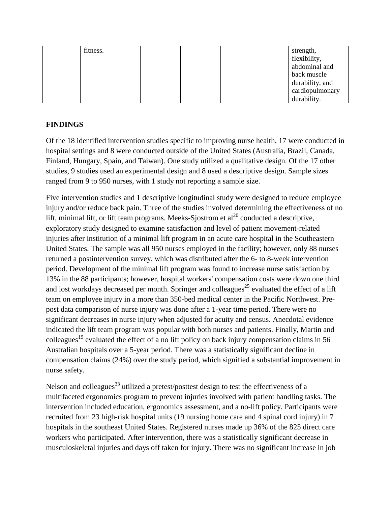| fitness. |  | strength,       |
|----------|--|-----------------|
|          |  | flexibility,    |
|          |  | abdominal and   |
|          |  | back muscle     |
|          |  | durability, and |
|          |  | cardiopulmonary |
|          |  | durability.     |

## **FINDINGS**

Of the 18 identified intervention studies specific to improving nurse health, 17 were conducted in hospital settings and 8 were conducted outside of the United States (Australia, Brazil, Canada, Finland, Hungary, Spain, and Taiwan). One study utilized a qualitative design. Of the 17 other studies, 9 studies used an experimental design and 8 used a descriptive design. Sample sizes ranged from 9 to 950 nurses, with 1 study not reporting a sample size.

Five intervention studies and 1 descriptive longitudinal study were designed to reduce employee injury and/or reduce back pain. Three of the studies involved determining the effectiveness of no lift, minimal lift, or lift team programs. Meeks-Sjostrom et al<sup>20</sup> conducted a descriptive, exploratory study designed to examine satisfaction and level of patient movement-related injuries after institution of a minimal lift program in an acute care hospital in the Southeastern United States. The sample was all 950 nurses employed in the facility; however, only 88 nurses returned a postintervention survey, which was distributed after the 6- to 8-week intervention period. Development of the minimal lift program was found to increase nurse satisfaction by 13% in the 88 participants; however, hospital workers' compensation costs were down one third and lost workdays decreased per month. Springer and colleagues<sup>25</sup> evaluated the effect of a lift team on employee injury in a more than 350-bed medical center in the Pacific Northwest. Prepost data comparison of nurse injury was done after a 1-year time period. There were no significant decreases in nurse injury when adjusted for acuity and census. Anecdotal evidence indicated the lift team program was popular with both nurses and patients. Finally, Martin and colleagues<sup>19</sup> evaluated the effect of a no lift policy on back injury compensation claims in 56 Australian hospitals over a 5-year period. There was a statistically significant decline in compensation claims (24%) over the study period, which signified a substantial improvement in nurse safety.

Nelson and colleagues<sup>33</sup> utilized a pretest/posttest design to test the effectiveness of a multifaceted ergonomics program to prevent injuries involved with patient handling tasks. The intervention included education, ergonomics assessment, and a no-lift policy. Participants were recruited from 23 high-risk hospital units (19 nursing home care and 4 spinal cord injury) in 7 hospitals in the southeast United States. Registered nurses made up 36% of the 825 direct care workers who participated. After intervention, there was a statistically significant decrease in musculoskeletal injuries and days off taken for injury. There was no significant increase in job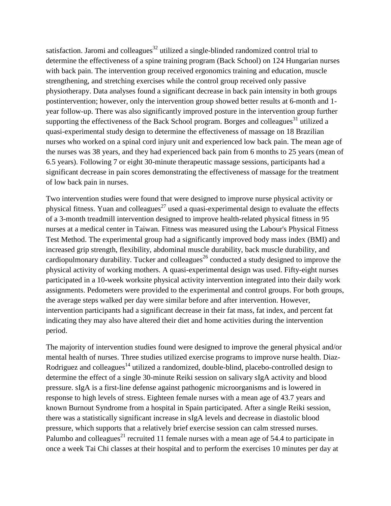satisfaction. Jaromi and colleagues<sup>32</sup> utilized a single-blinded randomized control trial to determine the effectiveness of a spine training program (Back School) on 124 Hungarian nurses with back pain. The intervention group received ergonomics training and education, muscle strengthening, and stretching exercises while the control group received only passive physiotherapy. Data analyses found a significant decrease in back pain intensity in both groups postintervention; however, only the intervention group showed better results at 6-month and 1 year follow-up. There was also significantly improved posture in the intervention group further supporting the effectiveness of the Back School program. Borges and colleagues<sup>31</sup> utilized a quasi-experimental study design to determine the effectiveness of massage on 18 Brazilian nurses who worked on a spinal cord injury unit and experienced low back pain. The mean age of the nurses was 38 years, and they had experienced back pain from 6 months to 25 years (mean of 6.5 years). Following 7 or eight 30-minute therapeutic massage sessions, participants had a significant decrease in pain scores demonstrating the effectiveness of massage for the treatment of low back pain in nurses.

Two intervention studies were found that were designed to improve nurse physical activity or physical fitness. Yuan and colleagues<sup>27</sup> used a quasi-experimental design to evaluate the effects of a 3-month treadmill intervention designed to improve health-related physical fitness in 95 nurses at a medical center in Taiwan. Fitness was measured using the Labour's Physical Fitness Test Method. The experimental group had a significantly improved body mass index (BMI) and increased grip strength, flexibility, abdominal muscle durability, back muscle durability, and cardiopulmonary durability. Tucker and colleagues<sup>26</sup> conducted a study designed to improve the physical activity of working mothers. A quasi-experimental design was used. Fifty-eight nurses participated in a 10-week worksite physical activity intervention integrated into their daily work assignments. Pedometers were provided to the experimental and control groups. For both groups, the average steps walked per day were similar before and after intervention. However, intervention participants had a significant decrease in their fat mass, fat index, and percent fat indicating they may also have altered their diet and home activities during the intervention period.

The majority of intervention studies found were designed to improve the general physical and/or mental health of nurses. Three studies utilized exercise programs to improve nurse health. Diaz-Rodriguez and colleagues<sup>14</sup> utilized a randomized, double-blind, placebo-controlled design to determine the effect of a single 30-minute Reiki session on salivary sIgA activity and blood pressure. sIgA is a first-line defense against pathogenic microorganisms and is lowered in response to high levels of stress. Eighteen female nurses with a mean age of 43.7 years and known Burnout Syndrome from a hospital in Spain participated. After a single Reiki session, there was a statistically significant increase in sIgA levels and decrease in diastolic blood pressure, which supports that a relatively brief exercise session can calm stressed nurses. Palumbo and colleagues<sup>21</sup> recruited 11 female nurses with a mean age of 54.4 to participate in once a week Tai Chi classes at their hospital and to perform the exercises 10 minutes per day at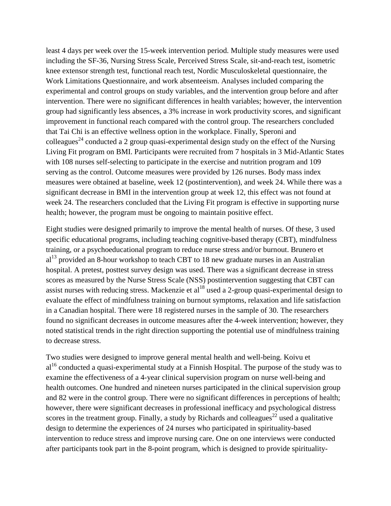least 4 days per week over the 15-week intervention period. Multiple study measures were used including the SF-36, Nursing Stress Scale, Perceived Stress Scale, sit-and-reach test, isometric knee extensor strength test, functional reach test, Nordic Musculoskeletal questionnaire, the Work Limitations Questionnaire, and work absenteeism. Analyses included comparing the experimental and control groups on study variables, and the intervention group before and after intervention. There were no significant differences in health variables; however, the intervention group had significantly less absences, a 3% increase in work productivity scores, and significant improvement in functional reach compared with the control group. The researchers concluded that Tai Chi is an effective wellness option in the workplace. Finally, Speroni and colleagues<sup>24</sup> conducted a 2 group quasi-experimental design study on the effect of the Nursing Living Fit program on BMI. Participants were recruited from 7 hospitals in 3 Mid-Atlantic States with 108 nurses self-selecting to participate in the exercise and nutrition program and 109 serving as the control. Outcome measures were provided by 126 nurses. Body mass index measures were obtained at baseline, week 12 (postintervention), and week 24. While there was a significant decrease in BMI in the intervention group at week 12, this effect was not found at week 24. The researchers concluded that the Living Fit program is effective in supporting nurse health; however, the program must be ongoing to maintain positive effect.

Eight studies were designed primarily to improve the mental health of nurses. Of these, 3 used specific educational programs, including teaching cognitive-based therapy (CBT), mindfulness training, or a psychoeducational program to reduce nurse stress and/or burnout. Brunero et  $al<sup>13</sup>$  provided an 8-hour workshop to teach CBT to 18 new graduate nurses in an Australian hospital. A pretest, posttest survey design was used. There was a significant decrease in stress scores as measured by the Nurse Stress Scale (NSS) postintervention suggesting that CBT can assist nurses with reducing stress. Mackenzie et al<sup>18</sup> used a 2-group quasi-experimental design to evaluate the effect of mindfulness training on burnout symptoms, relaxation and life satisfaction in a Canadian hospital. There were 18 registered nurses in the sample of 30. The researchers found no significant decreases in outcome measures after the 4-week intervention; however, they noted statistical trends in the right direction supporting the potential use of mindfulness training to decrease stress.

Two studies were designed to improve general mental health and well-being. Koivu et  $al^{16}$  conducted a quasi-experimental study at a Finnish Hospital. The purpose of the study was to examine the effectiveness of a 4-year clinical supervision program on nurse well-being and health outcomes. One hundred and nineteen nurses participated in the clinical supervision group and 82 were in the control group. There were no significant differences in perceptions of health; however, there were significant decreases in professional inefficacy and psychological distress scores in the treatment group. Finally, a study by Richards and colleagues $^{22}$  used a qualitative design to determine the experiences of 24 nurses who participated in spirituality-based intervention to reduce stress and improve nursing care. One on one interviews were conducted after participants took part in the 8-point program, which is designed to provide spirituality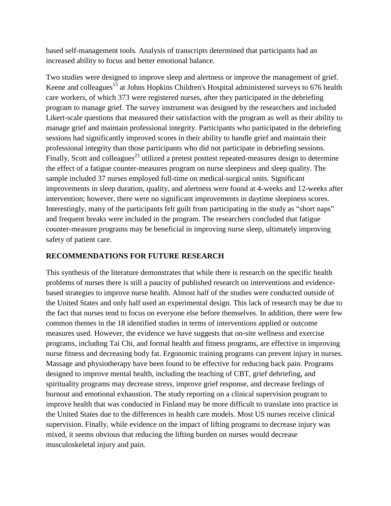based self-management tools. Analysis of transcripts determined that participants had an increased ability to focus and better emotional balance.

Two studies were designed to improve sleep and alertness or improve the management of grief. Keene and colleagues<sup>15</sup> at Johns Hopkins Children's Hospital administered surveys to 676 health care workers, of which 373 were registered nurses, after they participated in the debriefing program to manage grief. The survey instrument was designed by the researchers and included Likert-scale questions that measured their satisfaction with the program as well as their ability to manage grief and maintain professional integrity. Participants who participated in the debriefing sessions had significantly improved scores in their ability to handle grief and maintain their professional integrity than those participants who did not participate in debriefing sessions. Finally, Scott and colleagues<sup>23</sup> utilized a pretest posttest repeated-measures design to determine the effect of a fatigue counter-measures program on nurse sleepiness and sleep quality. The sample included 37 nurses employed full-time on medical-surgical units. Significant improvements in sleep duration, quality, and alertness were found at 4-weeks and 12-weeks after intervention; however, there were no significant improvements in daytime sleepiness scores. Interestingly, many of the participants felt guilt from participating in the study as "short naps" and frequent breaks were included in the program. The researchers concluded that fatigue counter-measure programs may be beneficial in improving nurse sleep, ultimately improving safety of patient care.

# **RECOMMENDATIONS FOR FUTURE RESEARCH**

This synthesis of the literature demonstrates that while there is research on the specific health problems of nurses there is still a paucity of published research on interventions and evidencebased strategies to improve nurse health. Almost half of the studies were conducted outside of the United States and only half used an experimental design. This lack of research may be due to the fact that nurses tend to focus on everyone else before themselves. In addition, there were few common themes in the 18 identified studies in terms of interventions applied or outcome measures used. However, the evidence we have suggests that on-site wellness and exercise programs, including Tai Chi, and formal health and fitness programs, are effective in improving nurse fitness and decreasing body fat. Ergonomic training programs can prevent injury in nurses. Massage and physiotherapy have been found to be effective for reducing back pain. Programs designed to improve mental health, including the teaching of CBT, grief debriefing, and spirituality programs may decrease stress, improve grief response, and decrease feelings of burnout and emotional exhaustion. The study reporting on a clinical supervision program to improve health that was conducted in Finland may be more difficult to translate into practice in the United States due to the differences in health care models. Most US nurses receive clinical supervision. Finally, while evidence on the impact of lifting programs to decrease injury was mixed, it seems obvious that reducing the lifting burden on nurses would decrease musculoskeletal injury and pain.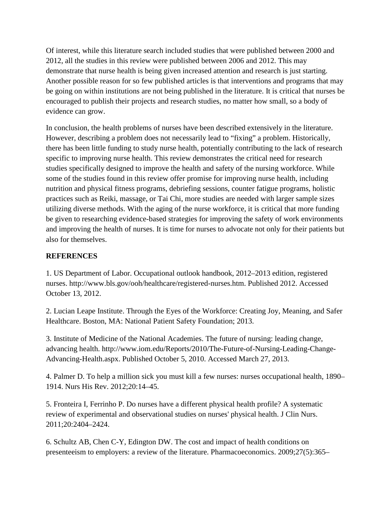Of interest, while this literature search included studies that were published between 2000 and 2012, all the studies in this review were published between 2006 and 2012. This may demonstrate that nurse health is being given increased attention and research is just starting. Another possible reason for so few published articles is that interventions and programs that may be going on within institutions are not being published in the literature. It is critical that nurses be encouraged to publish their projects and research studies, no matter how small, so a body of evidence can grow.

In conclusion, the health problems of nurses have been described extensively in the literature. However, describing a problem does not necessarily lead to "fixing" a problem. Historically, there has been little funding to study nurse health, potentially contributing to the lack of research specific to improving nurse health. This review demonstrates the critical need for research studies specifically designed to improve the health and safety of the nursing workforce. While some of the studies found in this review offer promise for improving nurse health, including nutrition and physical fitness programs, debriefing sessions, counter fatigue programs, holistic practices such as Reiki, massage, or Tai Chi, more studies are needed with larger sample sizes utilizing diverse methods. With the aging of the nurse workforce, it is critical that more funding be given to researching evidence-based strategies for improving the safety of work environments and improving the health of nurses. It is time for nurses to advocate not only for their patients but also for themselves.

# **REFERENCES**

1. US Department of Labor. Occupational outlook handbook, 2012–2013 edition, registered nurses. http://www.bls.gov/ooh/healthcare/registered-nurses.htm. Published 2012. Accessed October 13, 2012.

2. Lucian Leape Institute. Through the Eyes of the Workforce: Creating Joy, Meaning, and Safer Healthcare. Boston, MA: National Patient Safety Foundation; 2013.

3. Institute of Medicine of the National Academies. The future of nursing: leading change, advancing health. http://www.iom.edu/Reports/2010/The-Future-of-Nursing-Leading-Change-Advancing-Health.aspx. Published October 5, 2010. Accessed March 27, 2013.

4. Palmer D. To help a million sick you must kill a few nurses: nurses occupational health, 1890– 1914. Nurs His Rev. 2012;20:14–45.

5. Fronteira I, Ferrinho P. Do nurses have a different physical health profile? A systematic review of experimental and observational studies on nurses' physical health. J Clin Nurs. 2011;20:2404–2424.

6. Schultz AB, Chen C-Y, Edington DW. The cost and impact of health conditions on presenteeism to employers: a review of the literature. Pharmacoeconomics. 2009;27(5):365–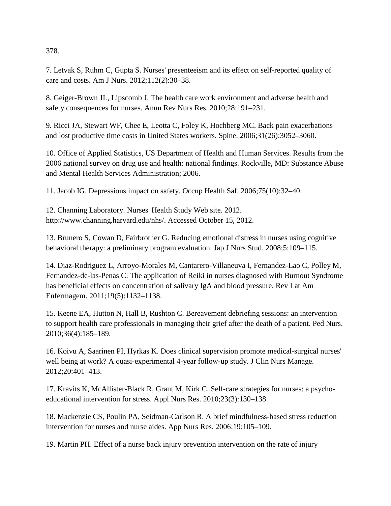378.

7. Letvak S, Ruhm C, Gupta S. Nurses' presenteeism and its effect on self-reported quality of care and costs. Am J Nurs. 2012;112(2):30–38.

8. Geiger-Brown JL, Lipscomb J. The health care work environment and adverse health and safety consequences for nurses. Annu Rev Nurs Res. 2010;28:191–231.

9. Ricci JA, Stewart WF, Chee E, Leotta C, Foley K, Hochberg MC. Back pain exacerbations and lost productive time costs in United States workers. Spine. 2006;31(26):3052–3060.

10. Office of Applied Statistics, US Department of Health and Human Services. Results from the 2006 national survey on drug use and health: national findings. Rockville, MD: Substance Abuse and Mental Health Services Administration; 2006.

11. Jacob IG. Depressions impact on safety. Occup Health Saf. 2006;75(10):32–40.

12. Channing Laboratory. Nurses' Health Study Web site. 2012. http://www.channing.harvard.edu/nhs/. Accessed October 15, 2012.

13. Brunero S, Cowan D, Fairbrother G. Reducing emotional distress in nurses using cognitive behavioral therapy: a preliminary program evaluation. Jap J Nurs Stud. 2008;5:109–115.

14. Diaz-Rodriguez L, Arroyo-Morales M, Cantarero-Villaneuva I, Fernandez-Lao C, Polley M, Fernandez-de-las-Penas C. The application of Reiki in nurses diagnosed with Burnout Syndrome has beneficial effects on concentration of salivary IgA and blood pressure. Rev Lat Am Enfermagem. 2011;19(5):1132–1138.

15. Keene EA, Hutton N, Hall B, Rushton C. Bereavement debriefing sessions: an intervention to support health care professionals in managing their grief after the death of a patient. Ped Nurs. 2010;36(4):185–189.

16. Koivu A, Saarinen PI, Hyrkas K. Does clinical supervision promote medical-surgical nurses' well being at work? A quasi-experimental 4-year follow-up study. J Clin Nurs Manage. 2012;20:401–413.

17. Kravits K, McAllister-Black R, Grant M, Kirk C. Self-care strategies for nurses: a psychoeducational intervention for stress. Appl Nurs Res. 2010;23(3):130–138.

18. Mackenzie CS, Poulin PA, Seidman-Carlson R. A brief mindfulness-based stress reduction intervention for nurses and nurse aides. App Nurs Res. 2006;19:105–109.

19. Martin PH. Effect of a nurse back injury prevention intervention on the rate of injury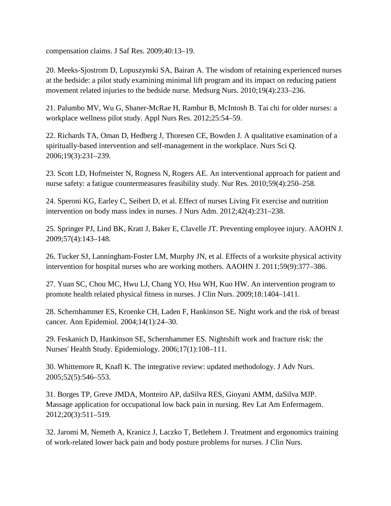compensation claims. J Saf Res. 2009;40:13–19.

20. Meeks-Sjostrom D, Lopuszynski SA, Bairan A. The wisdom of retaining experienced nurses at the bedside: a pilot study examining minimal lift program and its impact on reducing patient movement related injuries to the bedside nurse. Medsurg Nurs. 2010;19(4):233–236.

21. Palumbo MV, Wu G, Shaner-McRae H, Rambur B, McIntosh B. Tai chi for older nurses: a workplace wellness pilot study. Appl Nurs Res. 2012;25:54–59.

22. Richards TA, Oman D, Hedberg J, Thoresen CE, Bowden J. A qualitative examination of a spiritually-based intervention and self-management in the workplace. Nurs Sci Q. 2006;19(3):231–239.

23. Scott LD, Hofmeister N, Rogness N, Rogers AE. An interventional approach for patient and nurse safety: a fatigue countermeasures feasibility study. Nur Res. 2010;59(4):250–258.

24. Speroni KG, Earley C, Seibert D, et al. Effect of nurses Living Fit exercise and nutrition intervention on body mass index in nurses. J Nurs Adm. 2012;42(4):231–238.

25. Springer PJ, Lind BK, Kratt J, Baker E, Clavelle JT. Preventing employee injury. AAOHN J. 2009;57(4):143–148.

26. Tucker SJ, Lanningham-Foster LM, Murphy JN, et al. Effects of a worksite physical activity intervention for hospital nurses who are working mothers. AAOHN J. 2011;59(9):377–386.

27. Yuan SC, Chou MC, Hwu LJ, Chang YO, Hsu WH, Kuo HW. An intervention program to promote health related physical fitness in nurses. J Clin Nurs. 2009;18:1404–1411.

28. Schernhammer ES, Kroenke CH, Laden F, Hankinson SE. Night work and the risk of breast cancer. Ann Epidemiol. 2004;14(1):24–30.

29. Feskanich D, Hankinson SE, Schernhammer ES. Nightshift work and fracture risk: the Nurses' Health Study. Epidemiology. 2006;17(1):108–111.

30. Whittemore R, Knafl K. The integrative review: updated methodology. J Adv Nurs. 2005;52(5):546–553.

31. Borges TP, Greve JMDA, Monteiro AP, daSilva RES, Gioyani AMM, daSilva MJP. Massage application for occupational low back pain in nursing. Rev Lat Am Enfermagem. 2012;20(3):511–519.

32. Jaromi M, Nemeth A, Kranicz J, Laczko T, Betlehem J. Treatment and ergonomics training of work-related lower back pain and body posture problems for nurses. J Clin Nurs.